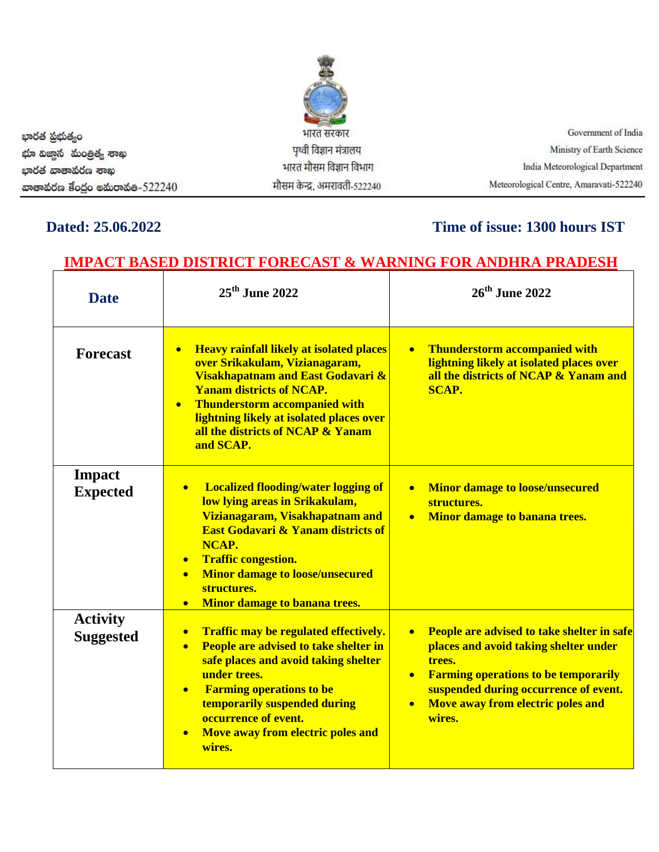| భారత ప్రభుత్వం                  | भारत सरकार                   | Government of India                     |
|---------------------------------|------------------------------|-----------------------------------------|
| భూ విజాన మంత్రిత్య శాంఖ         | पृथ्वी विज्ञान मंत्रालय      | Ministry of Earth Science               |
| ಭಾರತ ವಾತಾಕುರಣ ಕಾಖ               | भारत मौसम विज्ञान विभाग      | India Meteorological Department         |
| ගාෂාකර්ශ ප්රරූර මකාරාකීෂ-522240 | मौसम केन्द्र, अमरावती-522240 | Meteorological Centre, Amaravati-522240 |

**OBBY** 

## **Dated: 25.06.2022 Time of issue: 1300 hours IST**

# **IMPACT BASED DISTRICT FORECAST & WARNING FOR ANDHRA PRADESH**

| <b>Date</b>                         | $25th$ June 2022                                                                                                                                                                                                                                                                                                                                             | 26 <sup>th</sup> June 2022                                                                                                                                                                                                                                                  |  |
|-------------------------------------|--------------------------------------------------------------------------------------------------------------------------------------------------------------------------------------------------------------------------------------------------------------------------------------------------------------------------------------------------------------|-----------------------------------------------------------------------------------------------------------------------------------------------------------------------------------------------------------------------------------------------------------------------------|--|
| <b>Forecast</b>                     | <b>Heavy rainfall likely at isolated places</b><br>$\bullet$<br>over Srikakulam, Vizianagaram,<br>Visakhapatnam and East Godavari &<br><b>Yanam districts of NCAP.</b><br><b>Thunderstorm accompanied with</b><br>$\bullet$<br>lightning likely at isolated places over<br>all the districts of NCAP & Yanam<br>and SCAP.                                    | <b>Thunderstorm accompanied with</b><br>lightning likely at isolated places over<br>all the districts of NCAP & Yanam and<br><b>SCAP.</b>                                                                                                                                   |  |
| <b>Impact</b><br><b>Expected</b>    | <b>Localized flooding/water logging of</b><br>$\bullet$<br>low lying areas in Srikakulam,<br>Vizianagaram, Visakhapatnam and<br><b>East Godavari &amp; Yanam districts of</b><br>NCAP.<br><b>Traffic congestion.</b><br>$\bullet$<br><b>Minor damage to loose/unsecured</b><br>$\bullet$<br>structures.<br><b>Minor damage to banana trees.</b><br>$\bullet$ | <b>Minor damage to loose/unsecured</b><br>$\bullet$<br>structures.<br>Minor damage to banana trees.<br>$\bullet$                                                                                                                                                            |  |
| <b>Activity</b><br><b>Suggested</b> | Traffic may be regulated effectively.<br>$\bullet$<br>People are advised to take shelter in<br>$\bullet$<br>safe places and avoid taking shelter<br>under trees.<br><b>Farming operations to be</b><br>$\bullet$<br>temporarily suspended during<br>occurrence of event.<br>Move away from electric poles and<br>wires.                                      | People are advised to take shelter in safe<br>$\bullet$<br>places and avoid taking shelter under<br>trees.<br><b>Farming operations to be temporarily</b><br>$\bullet$<br>suspended during occurrence of event.<br>Move away from electric poles and<br>$\bullet$<br>wires. |  |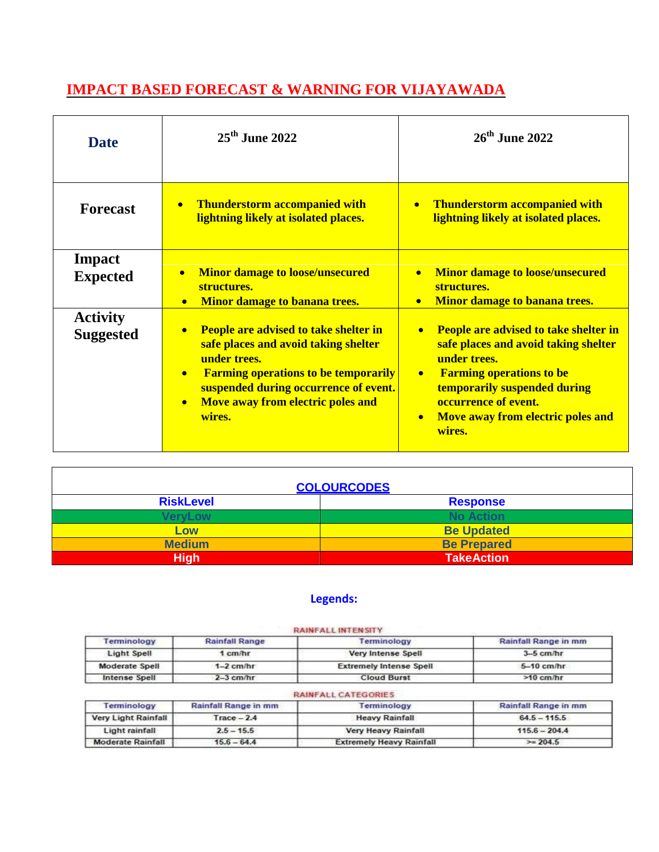## **IMPACT BASED FORECAST & WARNING FOR VIJAYAWADA**

| <b>Date</b>                         | $25th$ June 2022                                                                                                                                                                                                                                                                   | $26th$ June 2022                                                                                                                                                                                                                                                                      |  |
|-------------------------------------|------------------------------------------------------------------------------------------------------------------------------------------------------------------------------------------------------------------------------------------------------------------------------------|---------------------------------------------------------------------------------------------------------------------------------------------------------------------------------------------------------------------------------------------------------------------------------------|--|
| <b>Forecast</b>                     | <b>Thunderstorm accompanied with</b><br>$\bullet$<br>lightning likely at isolated places.                                                                                                                                                                                          | <b>Thunderstorm accompanied with</b><br>lightning likely at isolated places.                                                                                                                                                                                                          |  |
| Impact<br><b>Expected</b>           | <b>Minor damage to loose/unsecured</b><br>$\bullet$<br>structures.<br><b>Minor damage to banana trees.</b><br>$\bullet$                                                                                                                                                            | • Minor damage to loose/unsecured<br>structures.<br>Minor damage to banana trees.<br>$\bullet$                                                                                                                                                                                        |  |
| <b>Activity</b><br><b>Suggested</b> | <b>People are advised to take shelter in</b><br>$\bullet$<br>safe places and avoid taking shelter<br>under trees.<br><b>Farming operations to be temporarily</b><br>$\bullet$<br>suspended during occurrence of event.<br>Move away from electric poles and<br>$\bullet$<br>wires. | <b>People are advised to take shelter in</b><br>$\bullet$<br>safe places and avoid taking shelter<br>under trees.<br><b>Farming operations to be</b><br>$\bullet$<br>temporarily suspended during<br>occurrence of event.<br>Move away from electric poles and<br>$\bullet$<br>wires. |  |

| <b>COLOURCODES</b> |                    |  |
|--------------------|--------------------|--|
| <b>RiskLevel</b>   | <b>Response</b>    |  |
| <b>VeryLow</b>     | <b>No Action</b>   |  |
| <b>LOW</b>         | <b>Be Updated</b>  |  |
| <b>Medium</b>      | <b>Be Prepared</b> |  |
| <b>High</b>        | <b>TakeAction</b>  |  |

 $\overline{a}$ 

### **Legends:**

|                          |                       | <b>RAINFALL INTENSITY</b>       |                      |
|--------------------------|-----------------------|---------------------------------|----------------------|
| Terminology              | <b>Rainfall Range</b> | Terminology                     | Rainfall Range in mm |
| Light Spell              | 1 cm/hr               | Very Intense Spell              | $3-5$ cm/hr          |
| Moderate Spell           | $1-2$ cm/hr           | <b>Extremely Intense Spell</b>  | $5-10$ cm/hr         |
| Intense Spell            | $2 - 3$ cm/hr         | <b>Cloud Burst</b>              | $>10$ cm/hr          |
|                          |                       | <b>RAINFALL CATEGORIES</b>      |                      |
| Terminology              | Rainfall Range in mm  | Terminology                     | Rainfall Range in mm |
| Very Light Rainfall      | $Trace - 2.4$         | <b>Heavy Rainfall</b>           | $64.5 - 115.5$       |
| Light rainfall           | $2.5 - 15.5$          | Very Heavy Rainfall             | $115.6 - 204.4$      |
| <b>Moderate Rainfall</b> | $15.6 - 64.4$         | <b>Extremely Heavy Rainfall</b> | $>= 204.5$           |